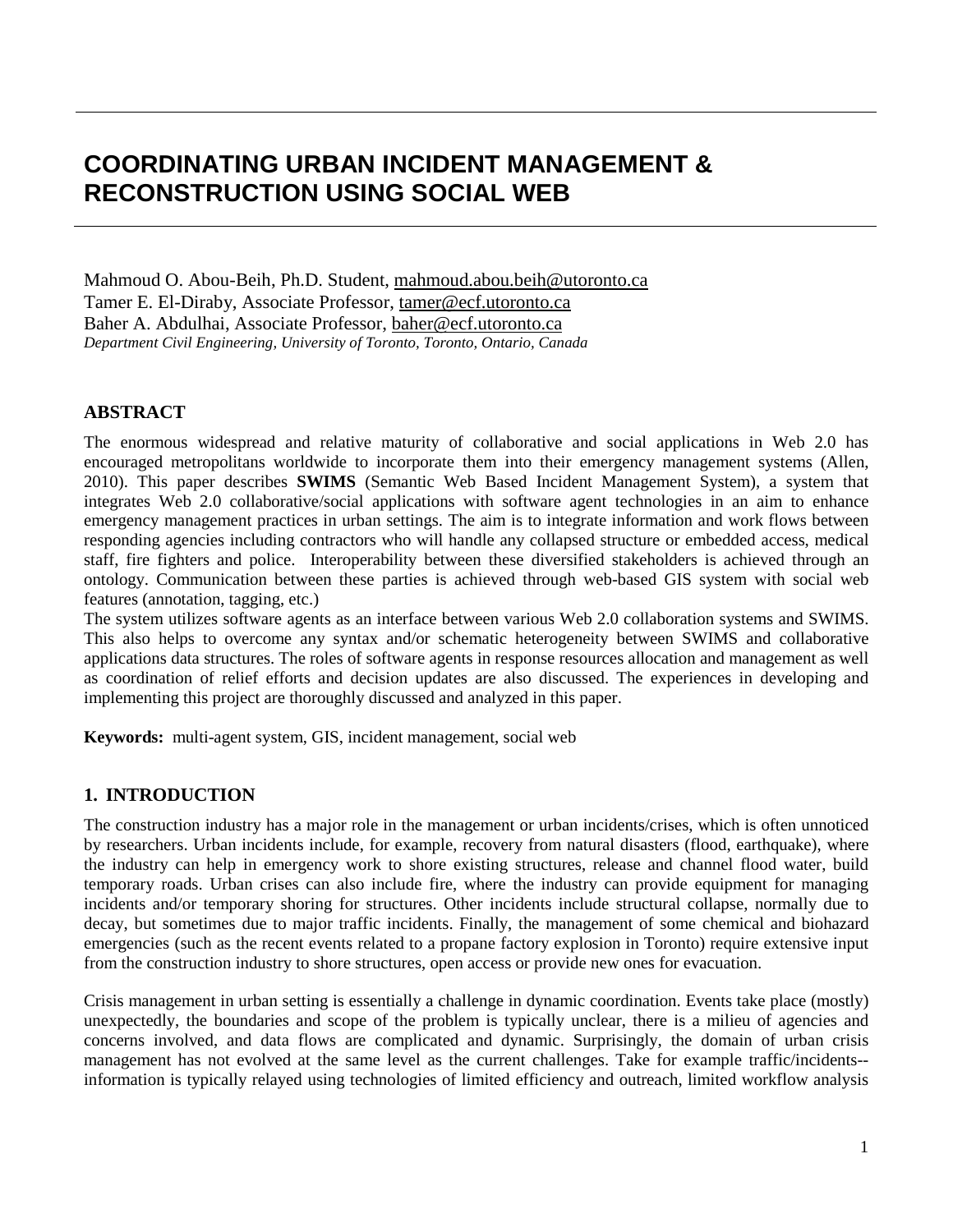# **COORDINATING URBAN INCIDENT MANAGEMENT & RECONSTRUCTION USING SOCIAL WEB**

Mahmoud O. Abou-Beih, Ph.D. Student, [mahmoud.abou.beih@utoronto.ca](mailto:mahmoud.abou.beih@utoronto.ca) Tamer E. El-Diraby, Associate Professor, [tamer@ecf.utoronto.ca](mailto:tamer@ecf.utoronto.ca) Baher A. Abdulhai, Associate Professor, [baher@ecf.utoronto.ca](mailto:baher@ecf.utoronto.ca) *Department Civil Engineering, University of Toronto, Toronto, Ontario, Canada* 

# **ABSTRACT**

The enormous widespread and relative maturity of collaborative and social applications in Web 2.0 has encouraged metropolitans worldwide to incorporate them into their emergency management systems (Allen, 2010). This paper describes **SWIMS** (Semantic Web Based Incident Management System), a system that integrates Web 2.0 collaborative/social applications with software agent technologies in an aim to enhance emergency management practices in urban settings. The aim is to integrate information and work flows between responding agencies including contractors who will handle any collapsed structure or embedded access, medical staff, fire fighters and police. Interoperability between these diversified stakeholders is achieved through an ontology. Communication between these parties is achieved through web-based GIS system with social web features (annotation, tagging, etc.)

The system utilizes software agents as an interface between various Web 2.0 collaboration systems and SWIMS. This also helps to overcome any syntax and/or schematic heterogeneity between SWIMS and collaborative applications data structures. The roles of software agents in response resources allocation and management as well as coordination of relief efforts and decision updates are also discussed. The experiences in developing and implementing this project are thoroughly discussed and analyzed in this paper.

**Keywords:** multi-agent system, GIS, incident management, social web

## **1. INTRODUCTION**

The construction industry has a major role in the management or urban incidents/crises, which is often unnoticed by researchers. Urban incidents include, for example, recovery from natural disasters (flood, earthquake), where the industry can help in emergency work to shore existing structures, release and channel flood water, build temporary roads. Urban crises can also include fire, where the industry can provide equipment for managing incidents and/or temporary shoring for structures. Other incidents include structural collapse, normally due to decay, but sometimes due to major traffic incidents. Finally, the management of some chemical and biohazard emergencies (such as the recent events related to a propane factory explosion in Toronto) require extensive input from the construction industry to shore structures, open access or provide new ones for evacuation.

Crisis management in urban setting is essentially a challenge in dynamic coordination. Events take place (mostly) unexpectedly, the boundaries and scope of the problem is typically unclear, there is a milieu of agencies and concerns involved, and data flows are complicated and dynamic. Surprisingly, the domain of urban crisis management has not evolved at the same level as the current challenges. Take for example traffic/incidents- information is typically relayed using technologies of limited efficiency and outreach, limited workflow analysis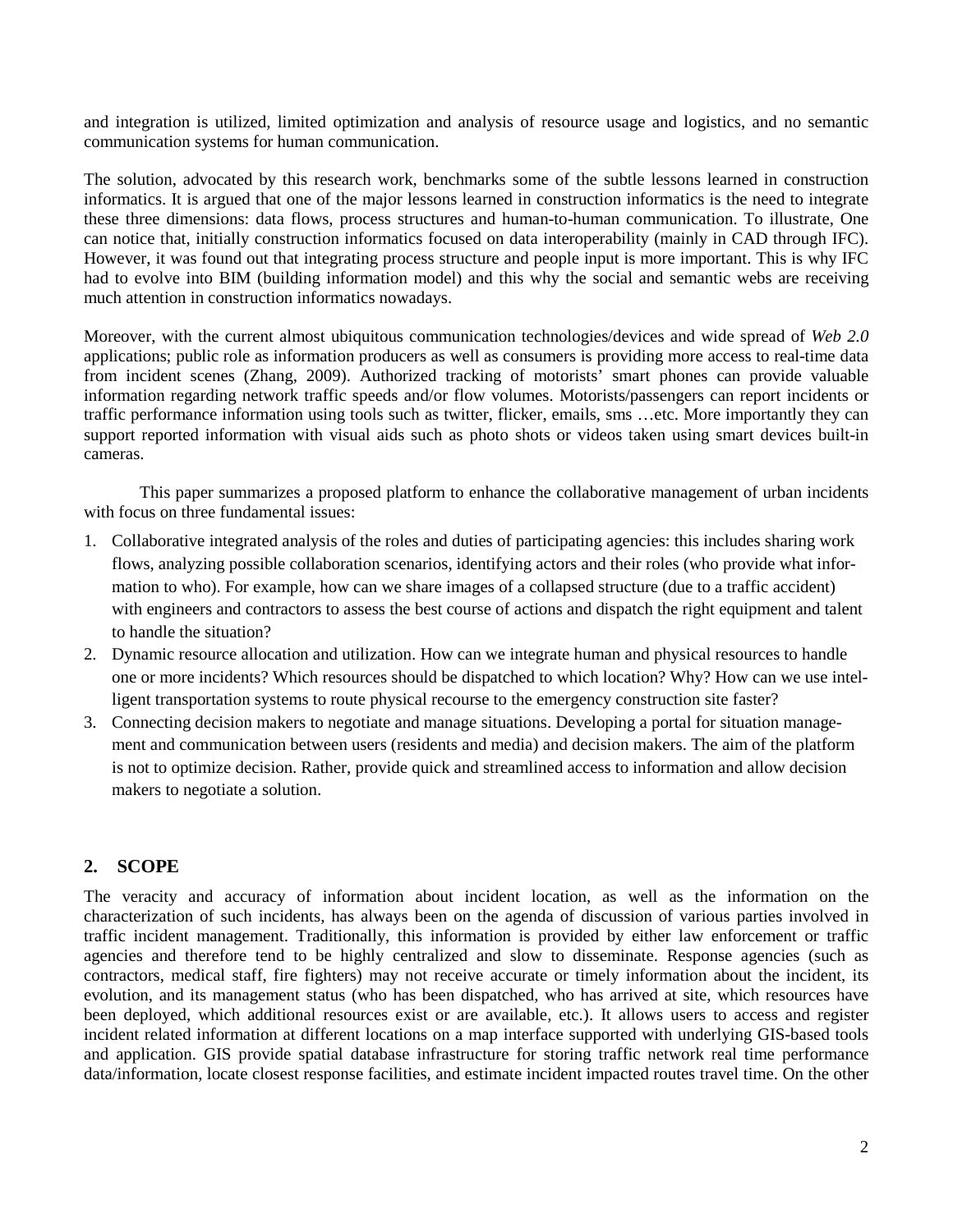and integration is utilized, limited optimization and analysis of resource usage and logistics, and no semantic communication systems for human communication.

The solution, advocated by this research work, benchmarks some of the subtle lessons learned in construction informatics. It is argued that one of the major lessons learned in construction informatics is the need to integrate these three dimensions: data flows, process structures and human-to-human communication. To illustrate, One can notice that, initially construction informatics focused on data interoperability (mainly in CAD through IFC). However, it was found out that integrating process structure and people input is more important. This is why IFC had to evolve into BIM (building information model) and this why the social and semantic webs are receiving much attention in construction informatics nowadays.

Moreover, with the current almost ubiquitous communication technologies/devices and wide spread of *Web 2.0* applications; public role as information producers as well as consumers is providing more access to real-time data from incident scenes (Zhang, 2009). Authorized tracking of motorists' smart phones can provide valuable information regarding network traffic speeds and/or flow volumes. Motorists/passengers can report incidents or traffic performance information using tools such as twitter, flicker, emails, sms …etc. More importantly they can support reported information with visual aids such as photo shots or videos taken using smart devices built-in cameras.

This paper summarizes a proposed platform to enhance the collaborative management of urban incidents with focus on three fundamental issues:

- 1. Collaborative integrated analysis of the roles and duties of participating agencies: this includes sharing work flows, analyzing possible collaboration scenarios, identifying actors and their roles (who provide what information to who). For example, how can we share images of a collapsed structure (due to a traffic accident) with engineers and contractors to assess the best course of actions and dispatch the right equipment and talent to handle the situation?
- 2. Dynamic resource allocation and utilization. How can we integrate human and physical resources to handle one or more incidents? Which resources should be dispatched to which location? Why? How can we use intelligent transportation systems to route physical recourse to the emergency construction site faster?
- 3. Connecting decision makers to negotiate and manage situations. Developing a portal for situation management and communication between users (residents and media) and decision makers. The aim of the platform is not to optimize decision. Rather, provide quick and streamlined access to information and allow decision makers to negotiate a solution.

## **2. SCOPE**

The veracity and accuracy of information about incident location, as well as the information on the characterization of such incidents, has always been on the agenda of discussion of various parties involved in traffic incident management. Traditionally, this information is provided by either law enforcement or traffic agencies and therefore tend to be highly centralized and slow to disseminate. Response agencies (such as contractors, medical staff, fire fighters) may not receive accurate or timely information about the incident, its evolution, and its management status (who has been dispatched, who has arrived at site, which resources have been deployed, which additional resources exist or are available, etc.). It allows users to access and register incident related information at different locations on a map interface supported with underlying GIS-based tools and application. GIS provide spatial database infrastructure for storing traffic network real time performance data/information, locate closest response facilities, and estimate incident impacted routes travel time. On the other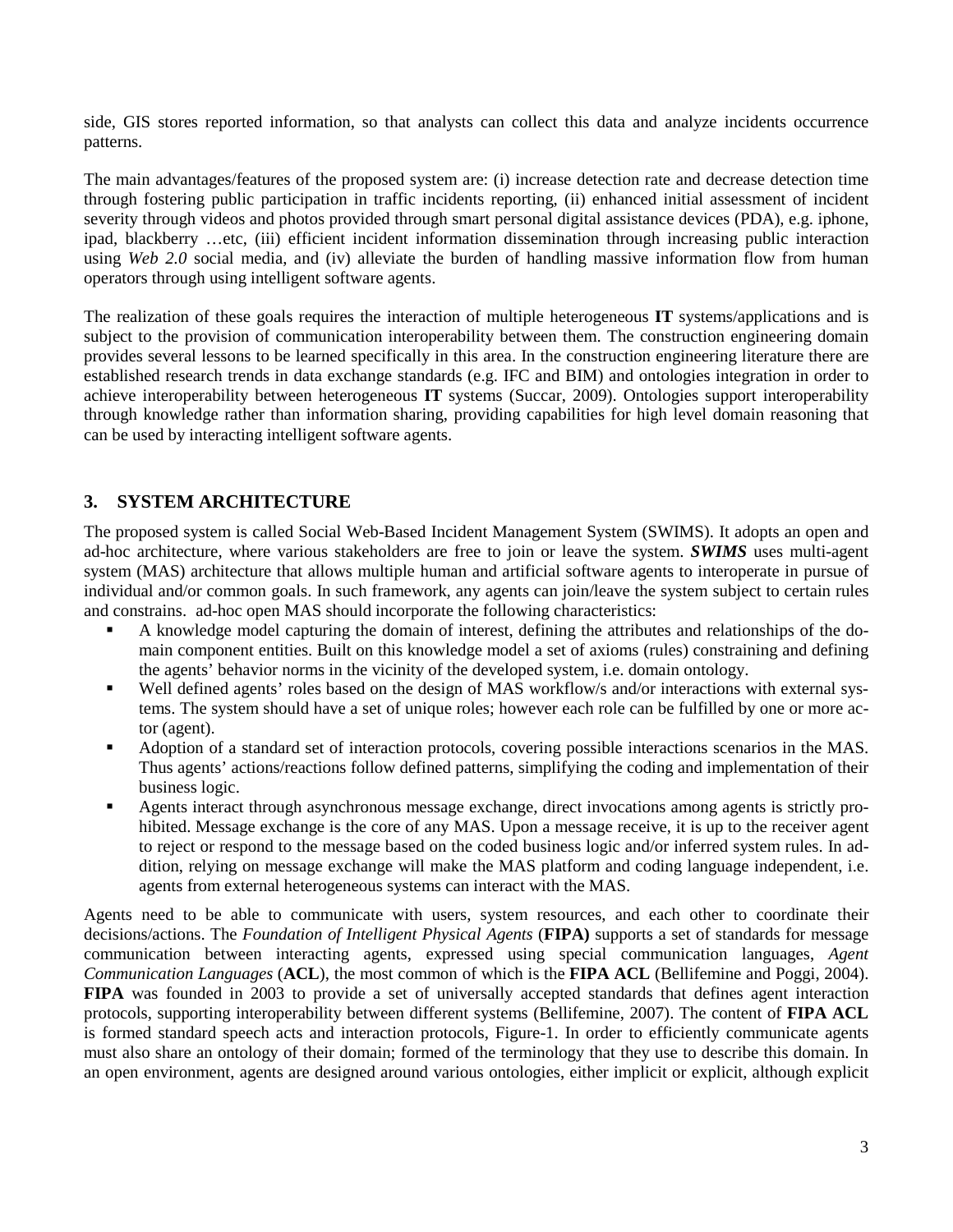side, GIS stores reported information, so that analysts can collect this data and analyze incidents occurrence patterns.

The main advantages/features of the proposed system are: (i) increase detection rate and decrease detection time through fostering public participation in traffic incidents reporting, (ii) enhanced initial assessment of incident severity through videos and photos provided through smart personal digital assistance devices (PDA), e.g. iphone, ipad, blackberry …etc, (iii) efficient incident information dissemination through increasing public interaction using *Web 2.0* social media, and (iv) alleviate the burden of handling massive information flow from human operators through using intelligent software agents.

The realization of these goals requires the interaction of multiple heterogeneous **IT** systems/applications and is subject to the provision of communication interoperability between them. The construction engineering domain provides several lessons to be learned specifically in this area. In the construction engineering literature there are established research trends in data exchange standards (e.g. IFC and BIM) and ontologies integration in order to achieve interoperability between heterogeneous **IT** systems (Succar, 2009). Ontologies support interoperability through knowledge rather than information sharing, providing capabilities for high level domain reasoning that can be used by interacting intelligent software agents.

# **3. SYSTEM ARCHITECTURE**

The proposed system is called Social Web-Based Incident Management System (SWIMS). It adopts an open and ad-hoc architecture, where various stakeholders are free to join or leave the system. *SWIMS* uses multi-agent system (MAS) architecture that allows multiple human and artificial software agents to interoperate in pursue of individual and/or common goals. In such framework, any agents can join/leave the system subject to certain rules and constrains. ad-hoc open MAS should incorporate the following characteristics:

- A knowledge model capturing the domain of interest, defining the attributes and relationships of the domain component entities. Built on this knowledge model a set of axioms (rules) constraining and defining the agents' behavior norms in the vicinity of the developed system, i.e. domain ontology.
- Well defined agents' roles based on the design of MAS workflow/s and/or interactions with external systems. The system should have a set of unique roles; however each role can be fulfilled by one or more actor (agent).
- Adoption of a standard set of interaction protocols, covering possible interactions scenarios in the MAS. Thus agents' actions/reactions follow defined patterns, simplifying the coding and implementation of their business logic.
- Agents interact through asynchronous message exchange, direct invocations among agents is strictly prohibited. Message exchange is the core of any MAS. Upon a message receive, it is up to the receiver agent to reject or respond to the message based on the coded business logic and/or inferred system rules. In addition, relying on message exchange will make the MAS platform and coding language independent, i.e. agents from external heterogeneous systems can interact with the MAS.

Agents need to be able to communicate with users, system resources, and each other to coordinate their decisions/actions. The *Foundation of Intelligent Physical Agents* (**FIPA)** supports a set of standards for message communication between interacting agents, expressed using special communication languages, *Agent Communication Languages* (**ACL**), the most common of which is the **FIPA ACL** (Bellifemine and Poggi, 2004). **FIPA** was founded in 2003 to provide a set of universally accepted standards that defines agent interaction protocols, supporting interoperability between different systems (Bellifemine, 2007). The content of **FIPA ACL** is formed standard speech acts and interaction protocols, Figure-1. In order to efficiently communicate agents must also share an ontology of their domain; formed of the terminology that they use to describe this domain. In an open environment, agents are designed around various ontologies, either implicit or explicit, although explicit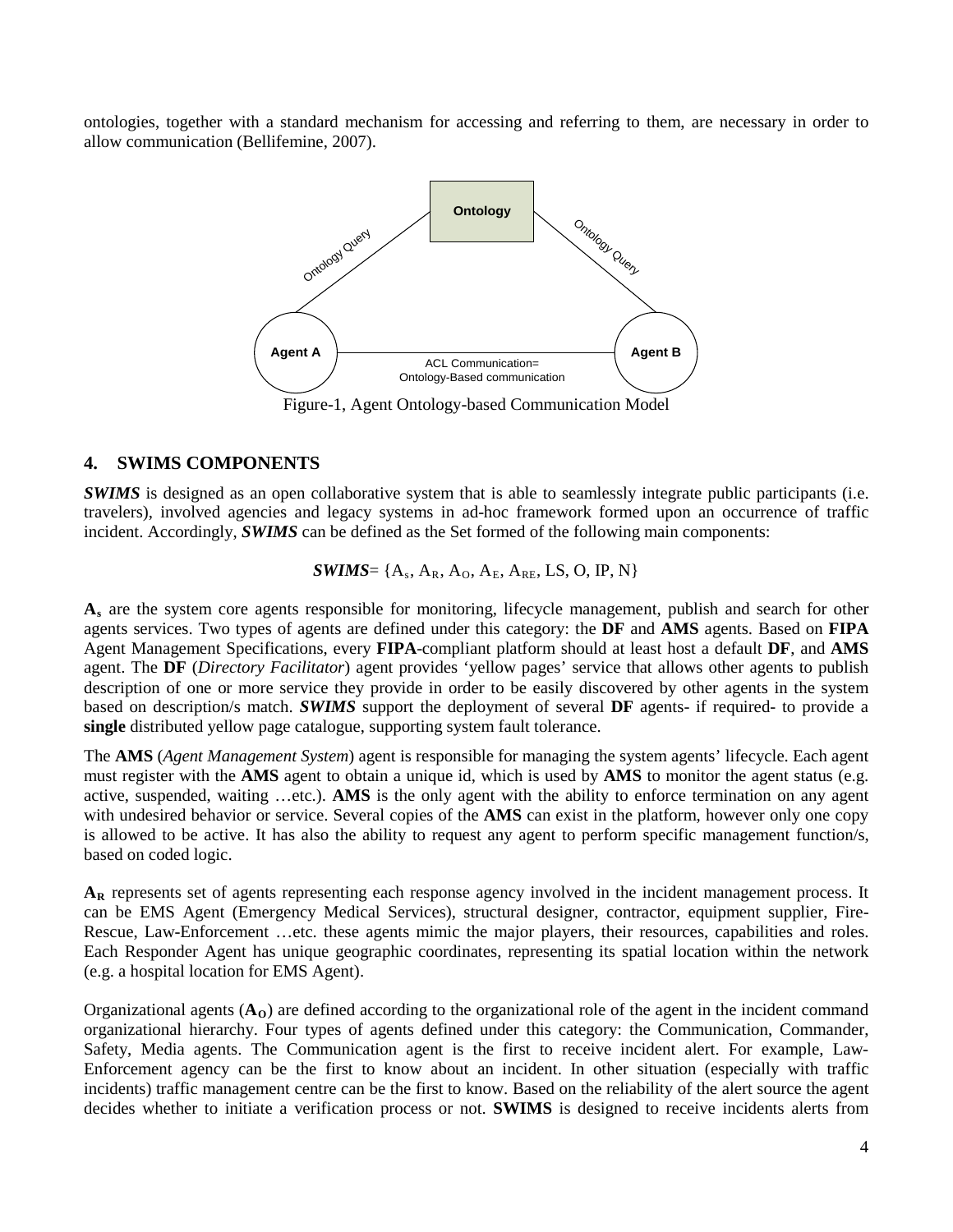ontologies, together with a standard mechanism for accessing and referring to them, are necessary in order to allow communication (Bellifemine, 2007).



Figure-1, Agent Ontology-based Communication Model

#### **4. SWIMS COMPONENTS**

*SWIMS* is designed as an open collaborative system that is able to seamlessly integrate public participants (i.e. travelers), involved agencies and legacy systems in ad-hoc framework formed upon an occurrence of traffic incident. Accordingly, *SWIMS* can be defined as the Set formed of the following main components:

$$
\textit{SWIMS} = \{A_s, A_R, A_O, A_E, A_{RE}, LS, O, IP, N\}
$$

**A s** are the system core agents responsible for monitoring, lifecycle management, publish and search for other agents services. Two types of agents are defined under this category: the **DF** and **AMS** agents. Based on **FIPA** Agent Management Specifications, every **FIPA**-compliant platform should at least host a default **DF**, and **AMS** agent. The **DF** (*Directory Facilitator*) agent provides 'yellow pages' service that allows other agents to publish description of one or more service they provide in order to be easily discovered by other agents in the system based on description/s match. *SWIMS* support the deployment of several **DF** agents- if required- to provide a **single** distributed yellow page catalogue, supporting system fault tolerance.

The **AMS** (*Agent Management System*) agent is responsible for managing the system agents' lifecycle. Each agent must register with the **AMS** agent to obtain a unique id, which is used by **AMS** to monitor the agent status (e.g. active, suspended, waiting …etc.). **AMS** is the only agent with the ability to enforce termination on any agent with undesired behavior or service. Several copies of the **AMS** can exist in the platform, however only one copy is allowed to be active. It has also the ability to request any agent to perform specific management function/s, based on coded logic.

**AR** represents set of agents representing each response agency involved in the incident management process. It can be EMS Agent (Emergency Medical Services), structural designer, contractor, equipment supplier, Fire-Rescue, Law-Enforcement …etc. these agents mimic the major players, their resources, capabilities and roles. Each Responder Agent has unique geographic coordinates, representing its spatial location within the network (e.g. a hospital location for EMS Agent).

Organizational agents  $(A<sub>0</sub>)$  are defined according to the organizational role of the agent in the incident command organizational hierarchy. Four types of agents defined under this category: the Communication, Commander, Safety, Media agents. The Communication agent is the first to receive incident alert. For example, Law-Enforcement agency can be the first to know about an incident. In other situation (especially with traffic incidents) traffic management centre can be the first to know. Based on the reliability of the alert source the agent decides whether to initiate a verification process or not. **SWIMS** is designed to receive incidents alerts from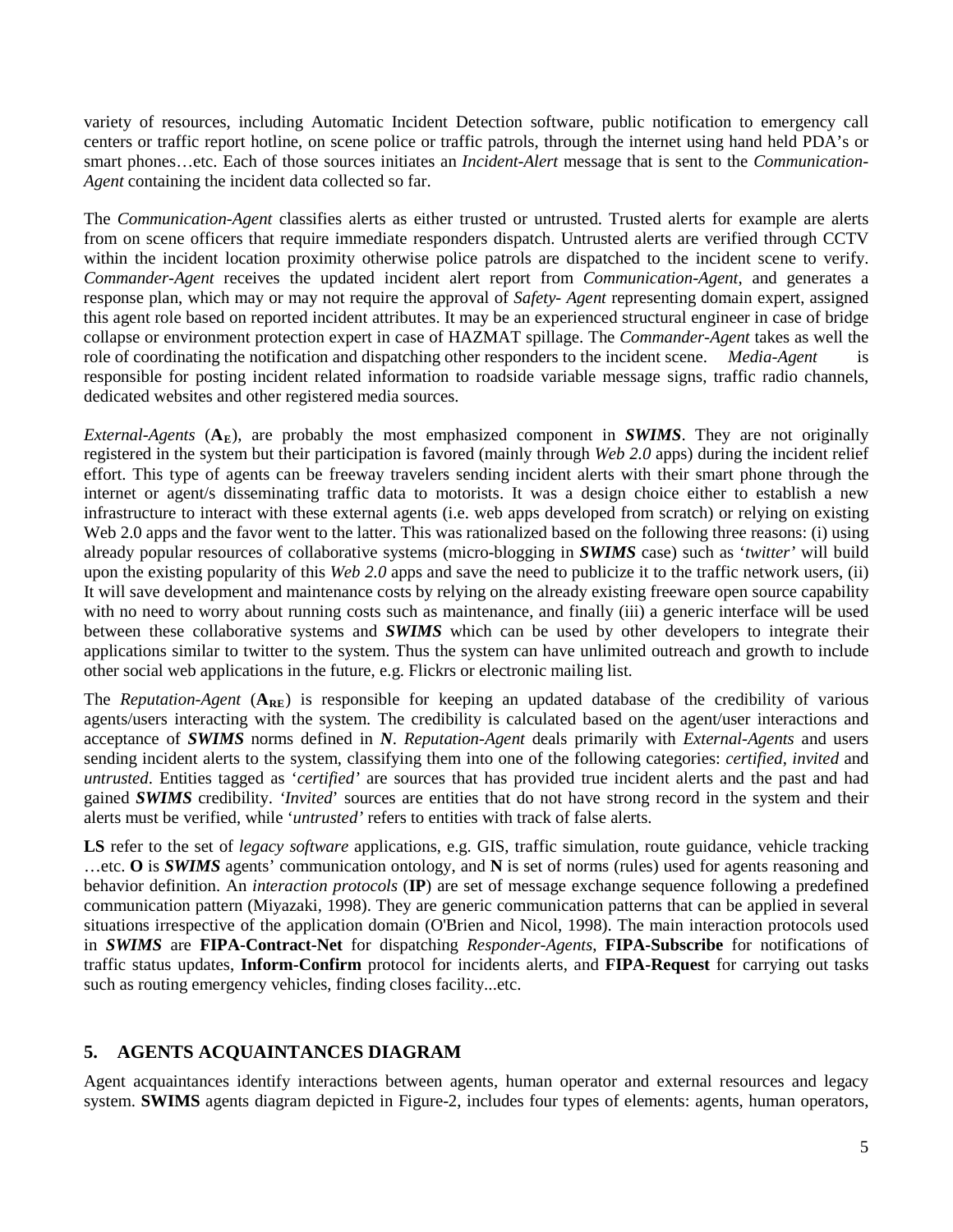variety of resources, including Automatic Incident Detection software, public notification to emergency call centers or traffic report hotline, on scene police or traffic patrols, through the internet using hand held PDA's or smart phones…etc. Each of those sources initiates an *Incident-Alert* message that is sent to the *Communication-Agent* containing the incident data collected so far.

The *Communication-Agent* classifies alerts as either trusted or untrusted. Trusted alerts for example are alerts from on scene officers that require immediate responders dispatch. Untrusted alerts are verified through CCTV within the incident location proximity otherwise police patrols are dispatched to the incident scene to verify. *Commander-Agent* receives the updated incident alert report from *Communication-Agent*, and generates a response plan, which may or may not require the approval of *Safety- Agent* representing domain expert, assigned this agent role based on reported incident attributes. It may be an experienced structural engineer in case of bridge collapse or environment protection expert in case of HAZMAT spillage. The *Commander-Agent* takes as well the role of coordinating the notification and dispatching other responders to the incident scene. *Media-Agent* is responsible for posting incident related information to roadside variable message signs, traffic radio channels, dedicated websites and other registered media sources.

*External-Agents*  $(A_E)$ , are probably the most emphasized component in **SWIMS**. They are not originally registered in the system but their participation is favored (mainly through *Web 2.0* apps) during the incident relief effort. This type of agents can be freeway travelers sending incident alerts with their smart phone through the internet or agent/s disseminating traffic data to motorists. It was a design choice either to establish a new infrastructure to interact with these external agents (i.e. web apps developed from scratch) or relying on existing Web 2.0 apps and the favor went to the latter. This was rationalized based on the following three reasons: (i) using already popular resources of collaborative systems (micro-blogging in *SWIMS* case) such as '*twitter'* will build upon the existing popularity of this *Web 2.0* apps and save the need to publicize it to the traffic network users, (ii) It will save development and maintenance costs by relying on the already existing freeware open source capability with no need to worry about running costs such as maintenance, and finally (iii) a generic interface will be used between these collaborative systems and *SWIMS* which can be used by other developers to integrate their applications similar to twitter to the system. Thus the system can have unlimited outreach and growth to include other social web applications in the future, e.g. Flickrs or electronic mailing list.

The *Reputation-Agent* ( $A_{RE}$ ) is responsible for keeping an updated database of the credibility of various agents/users interacting with the system. The credibility is calculated based on the agent/user interactions and acceptance of *SWIMS* norms defined in *N*. *Reputation-Agent* deals primarily with *External-Agents* and users sending incident alerts to the system, classifying them into one of the following categories: *certified*, *invited* and *untrusted*. Entities tagged as '*certified'* are sources that has provided true incident alerts and the past and had gained *SWIMS* credibility. *'Invited*' sources are entities that do not have strong record in the system and their alerts must be verified, while '*untrusted'* refers to entities with track of false alerts.

**LS** refer to the set of *legacy software* applications, e.g. GIS, traffic simulation, route guidance, vehicle tracking …etc. **O** is *SWIMS* agents' communication ontology, and **N** is set of norms (rules) used for agents reasoning and behavior definition. An *interaction protocols* (**IP**) are set of message exchange sequence following a predefined communication pattern (Miyazaki, 1998). They are generic communication patterns that can be applied in several situations irrespective of the application domain (O'Brien and Nicol, 1998). The main interaction protocols used in *SWIMS* are **FIPA-Contract-Net** for dispatching *Responder-Agents*, **FIPA-Subscribe** for notifications of traffic status updates, **Inform-Confirm** protocol for incidents alerts, and **FIPA-Request** for carrying out tasks such as routing emergency vehicles, finding closes facility...etc.

# **5. AGENTS ACQUAINTANCES DIAGRAM**

Agent acquaintances identify interactions between agents, human operator and external resources and legacy system. **SWIMS** agents diagram depicted in Figure-2, includes four types of elements: agents, human operators,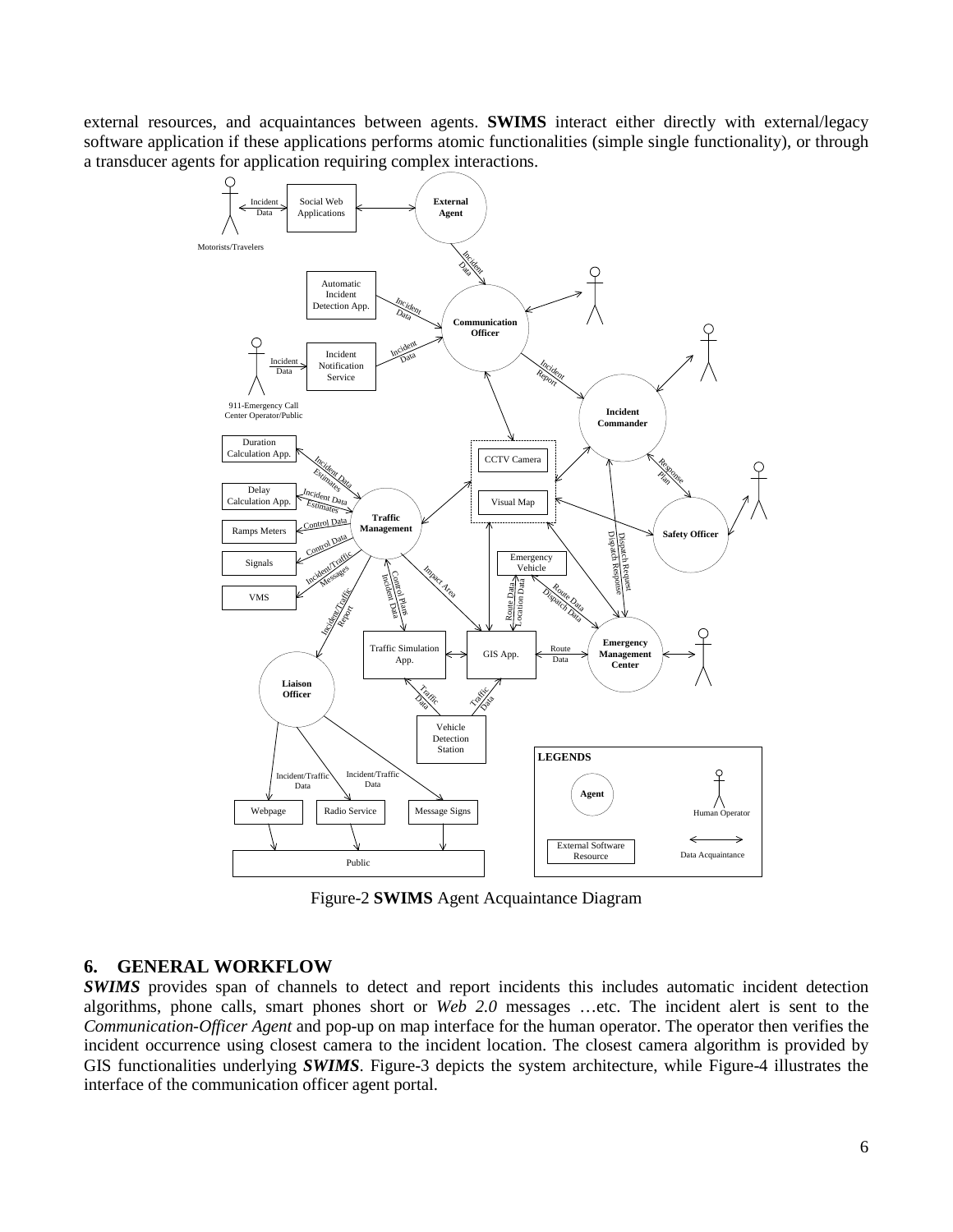external resources, and acquaintances between agents. **SWIMS** interact either directly with external/legacy software application if these applications performs atomic functionalities (simple single functionality), or through a transducer agents for application requiring complex interactions.



Figure-2 **SWIMS** Agent Acquaintance Diagram

## **6. GENERAL WORKFLOW**

*SWIMS* provides span of channels to detect and report incidents this includes automatic incident detection algorithms, phone calls, smart phones short or *Web 2.0* messages …etc. The incident alert is sent to the *Communication-Officer Agent* and pop-up on map interface for the human operator. The operator then verifies the incident occurrence using closest camera to the incident location. The closest camera algorithm is provided by GIS functionalities underlying *SWIMS*. Figure-3 depicts the system architecture, while Figure-4 illustrates the interface of the communication officer agent portal.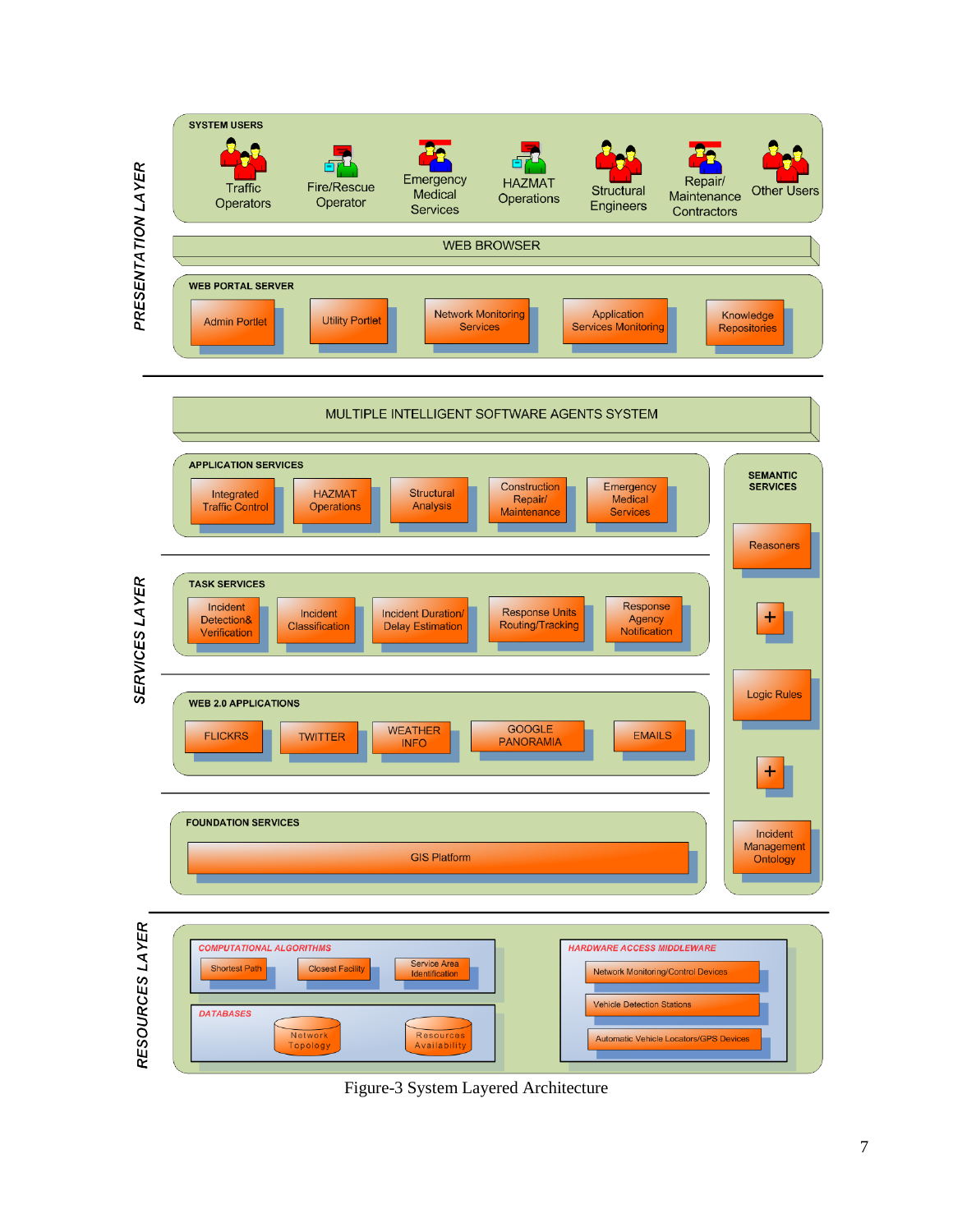

Figure-3 System Layered Architecture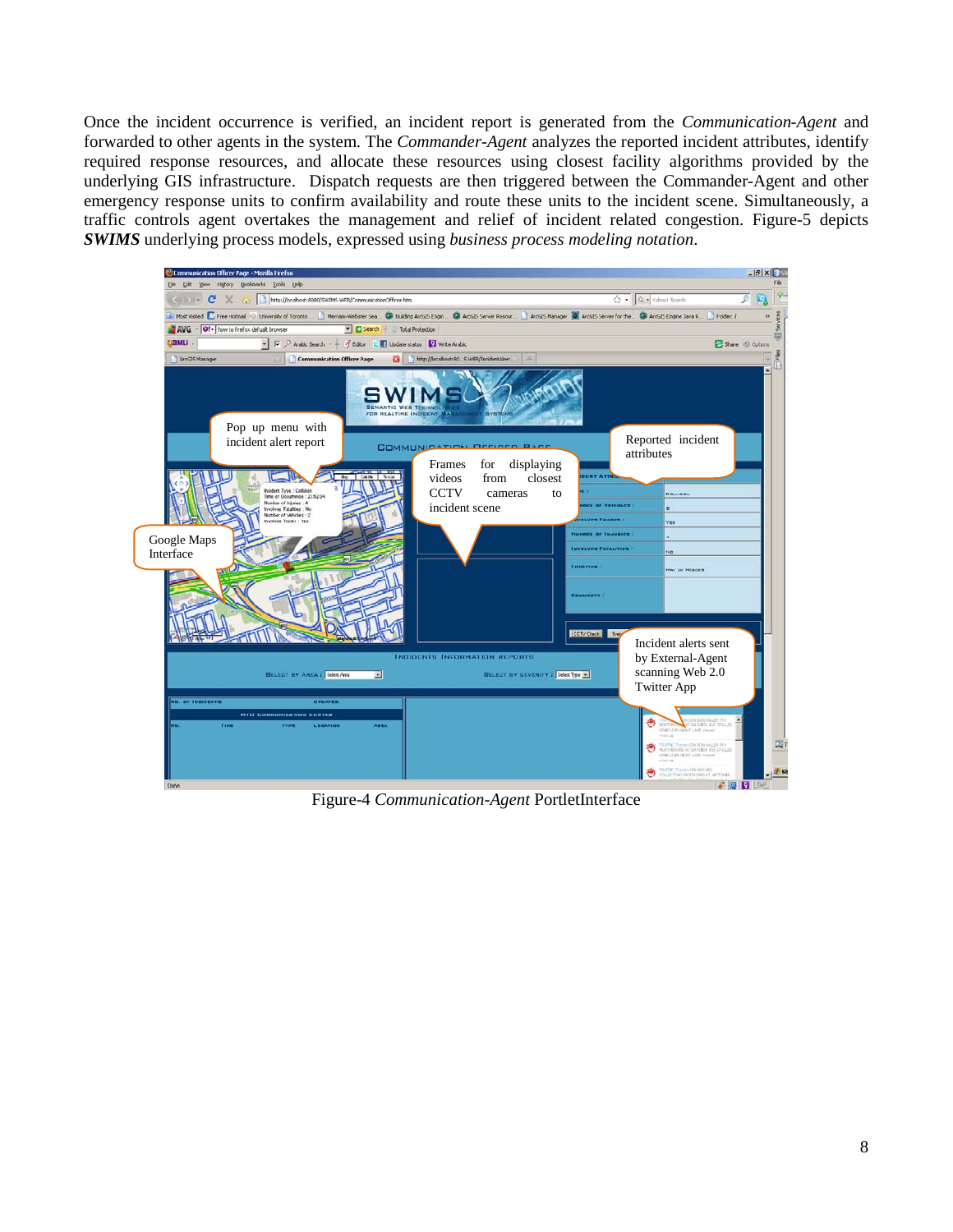Once the incident occurrence is verified, an incident report is generated from the *Communication-Agent* and forwarded to other agents in the system. The *Commander-Agent* analyzes the reported incident attributes, identify required response resources, and allocate these resources using closest facility algorithms provided by the underlying GIS infrastructure. Dispatch requests are then triggered between the Commander-Agent and other emergency response units to confirm availability and route these units to the incident scene. Simultaneously, a traffic controls agent overtakes the management and relief of incident related congestion. Figure-5 depicts *SWIMS* underlying process models, expressed using *business process modeling notation*.



Figure-4 *Communication-Agent* PortletInterface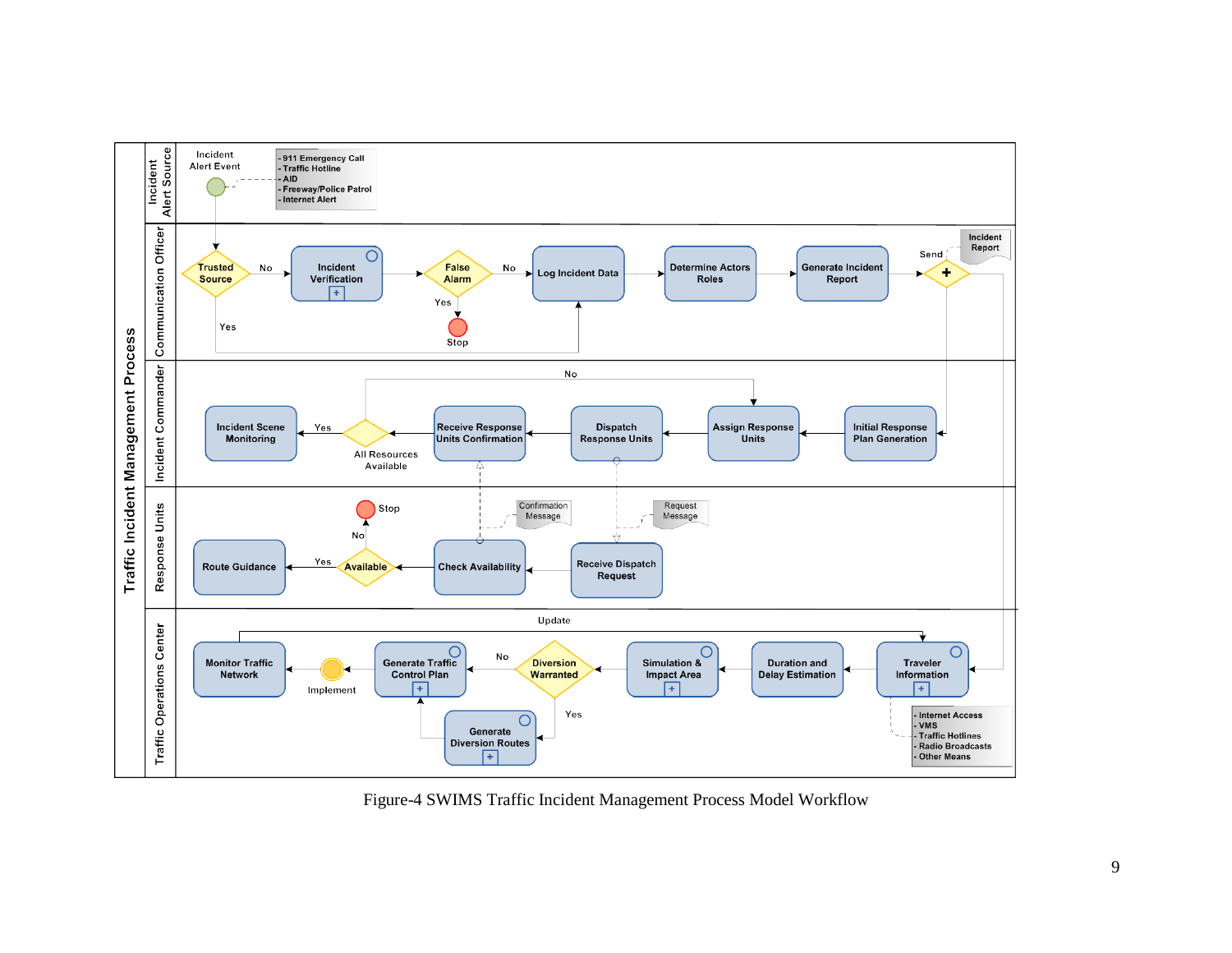

Figure-4 SWIMS Traffic Incident Management Process Model Workflow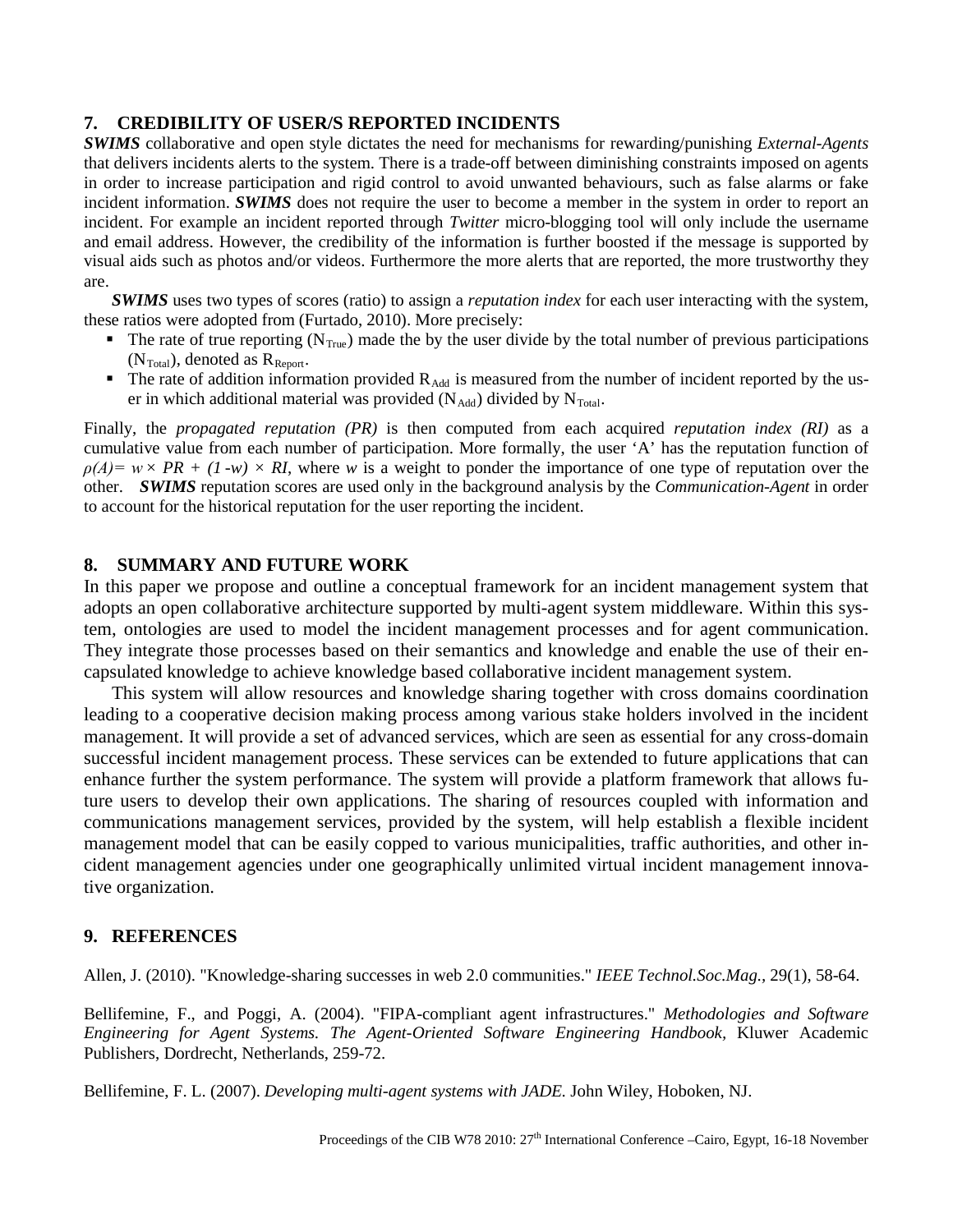#### **7. CREDIBILITY OF USER/S REPORTED INCIDENTS**

*SWIMS* collaborative and open style dictates the need for mechanisms for rewarding/punishing *External-Agents* that delivers incidents alerts to the system. There is a trade-off between diminishing constraints imposed on agents in order to increase participation and rigid control to avoid unwanted behaviours, such as false alarms or fake incident information. *SWIMS* does not require the user to become a member in the system in order to report an incident. For example an incident reported through *Twitter* micro-blogging tool will only include the username and email address. However, the credibility of the information is further boosted if the message is supported by visual aids such as photos and/or videos. Furthermore the more alerts that are reported, the more trustworthy they are.

*SWIMS* uses two types of scores (ratio) to assign a *reputation index* for each user interacting with the system, these ratios were adopted from (Furtado, 2010). More precisely:

- The rate of true reporting ( $N_{\text{True}}$ ) made the by the user divide by the total number of previous participations  $(N<sub>Total</sub>)$ , denoted as  $R<sub>Report</sub>$ .
- The rate of addition information provided  $R_{\text{Add}}$  is measured from the number of incident reported by the user in which additional material was provided  $(N_{\text{Add}})$  divided by  $N_{\text{Total}}$ .

Finally, the *propagated reputation (PR)* is then computed from each acquired *reputation index (RI)* as a cumulative value from each number of participation. More formally, the user 'A' has the reputation function of  $\rho(A) = w \times PR + (1-w) \times RI$ , where *w* is a weight to ponder the importance of one type of reputation over the other. *SWIMS* reputation scores are used only in the background analysis by the *Communication-Agent* in order to account for the historical reputation for the user reporting the incident.

#### **8. SUMMARY AND FUTURE WORK**

In this paper we propose and outline a conceptual framework for an incident management system that adopts an open collaborative architecture supported by multi-agent system middleware. Within this system, ontologies are used to model the incident management processes and for agent communication. They integrate those processes based on their semantics and knowledge and enable the use of their encapsulated knowledge to achieve knowledge based collaborative incident management system.

This system will allow resources and knowledge sharing together with cross domains coordination leading to a cooperative decision making process among various stake holders involved in the incident management. It will provide a set of advanced services, which are seen as essential for any cross-domain successful incident management process. These services can be extended to future applications that can enhance further the system performance. The system will provide a platform framework that allows future users to develop their own applications. The sharing of resources coupled with information and communications management services, provided by the system, will help establish a flexible incident management model that can be easily copped to various municipalities, traffic authorities, and other incident management agencies under one geographically unlimited virtual incident management innovative organization.

## **9. REFERENCES**

Allen, J. (2010). "Knowledge-sharing successes in web 2.0 communities." *IEEE Technol.Soc.Mag.,* 29(1), 58-64.

Bellifemine, F., and Poggi, A. (2004). "FIPA-compliant agent infrastructures." *Methodologies and Software Engineering for Agent Systems. The Agent-Oriented Software Engineering Handbook,* Kluwer Academic Publishers, Dordrecht, Netherlands, 259-72.

Bellifemine, F. L. (2007). *Developing multi-agent systems with JADE.* John Wiley, Hoboken, NJ.